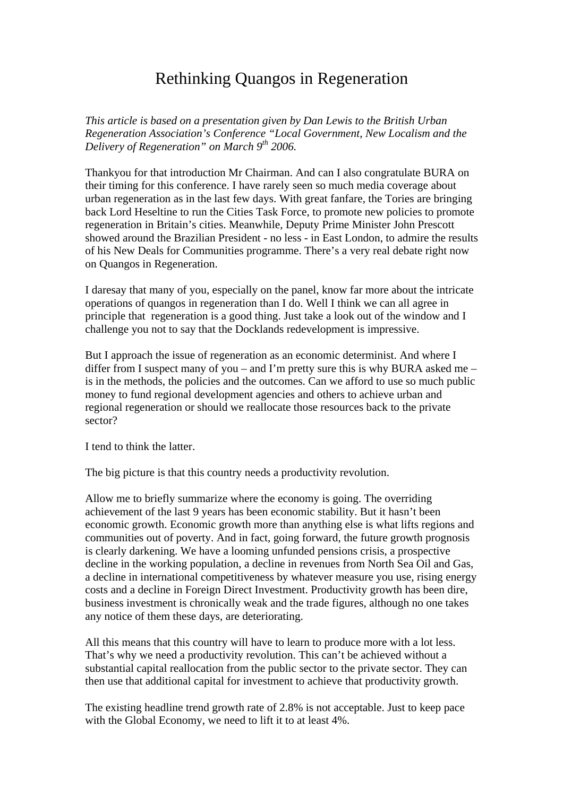## Rethinking Quangos in Regeneration

*This article is based on a presentation given by Dan Lewis to the British Urban Regeneration Association's Conference "Local Government, New Localism and the Delivery of Regeneration" on March 9th 2006.* 

Thankyou for that introduction Mr Chairman. And can I also congratulate BURA on their timing for this conference. I have rarely seen so much media coverage about urban regeneration as in the last few days. With great fanfare, the Tories are bringing back Lord Heseltine to run the Cities Task Force, to promote new policies to promote regeneration in Britain's cities. Meanwhile, Deputy Prime Minister John Prescott showed around the Brazilian President - no less - in East London, to admire the results of his New Deals for Communities programme. There's a very real debate right now on Quangos in Regeneration.

I daresay that many of you, especially on the panel, know far more about the intricate operations of quangos in regeneration than I do. Well I think we can all agree in principle that regeneration is a good thing. Just take a look out of the window and I challenge you not to say that the Docklands redevelopment is impressive.

But I approach the issue of regeneration as an economic determinist. And where I differ from I suspect many of you – and I'm pretty sure this is why BURA asked me – is in the methods, the policies and the outcomes. Can we afford to use so much public money to fund regional development agencies and others to achieve urban and regional regeneration or should we reallocate those resources back to the private sector?

I tend to think the latter.

The big picture is that this country needs a productivity revolution.

Allow me to briefly summarize where the economy is going. The overriding achievement of the last 9 years has been economic stability. But it hasn't been economic growth. Economic growth more than anything else is what lifts regions and communities out of poverty. And in fact, going forward, the future growth prognosis is clearly darkening. We have a looming unfunded pensions crisis, a prospective decline in the working population, a decline in revenues from North Sea Oil and Gas, a decline in international competitiveness by whatever measure you use, rising energy costs and a decline in Foreign Direct Investment. Productivity growth has been dire, business investment is chronically weak and the trade figures, although no one takes any notice of them these days, are deteriorating.

All this means that this country will have to learn to produce more with a lot less. That's why we need a productivity revolution. This can't be achieved without a substantial capital reallocation from the public sector to the private sector. They can then use that additional capital for investment to achieve that productivity growth.

The existing headline trend growth rate of 2.8% is not acceptable. Just to keep pace with the Global Economy, we need to lift it to at least 4%.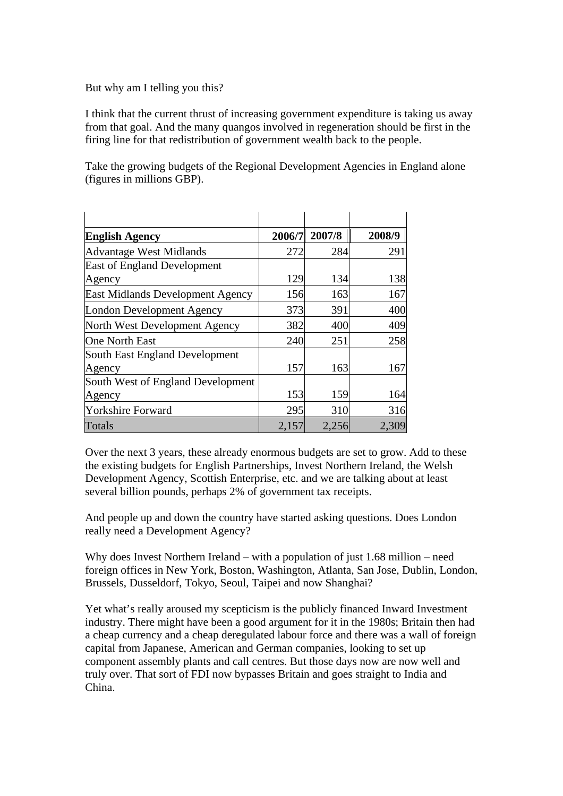But why am I telling you this?

I think that the current thrust of increasing government expenditure is taking us away from that goal. And the many quangos involved in regeneration should be first in the firing line for that redistribution of government wealth back to the people.

Take the growing budgets of the Regional Development Agencies in England alone (figures in millions GBP).

| <b>English Agency</b>                   | 2006/7 | 2007/8 | 2008/9 |
|-----------------------------------------|--------|--------|--------|
| <b>Advantage West Midlands</b>          | 272    | 284    | 291    |
| <b>East of England Development</b>      |        |        |        |
| Agency                                  | 129    | 134    | 138    |
| <b>East Midlands Development Agency</b> | 156    | 163    | 167    |
| London Development Agency               | 373    | 391    | 400    |
| North West Development Agency           | 382    | 400    | 409    |
| <b>One North East</b>                   | 240    | 251    | 258    |
| South East England Development          |        |        |        |
| Agency                                  | 157    | 163    | 167    |
| South West of England Development       |        |        |        |
| Agency                                  | 153    | 159    | 164    |
| <b>Yorkshire Forward</b>                | 295    | 310    | 316    |
| Totals                                  | 2,157  | 2,256  | 2,309  |

Over the next 3 years, these already enormous budgets are set to grow. Add to these the existing budgets for English Partnerships, Invest Northern Ireland, the Welsh Development Agency, Scottish Enterprise, etc. and we are talking about at least several billion pounds, perhaps 2% of government tax receipts.

And people up and down the country have started asking questions. Does London really need a Development Agency?

Why does Invest Northern Ireland – with a population of just 1.68 million – need foreign offices in New York, Boston, Washington, Atlanta, San Jose, Dublin, London, Brussels, Dusseldorf, Tokyo, Seoul, Taipei and now Shanghai?

Yet what's really aroused my scepticism is the publicly financed Inward Investment industry. There might have been a good argument for it in the 1980s; Britain then had a cheap currency and a cheap deregulated labour force and there was a wall of foreign capital from Japanese, American and German companies, looking to set up component assembly plants and call centres. But those days now are now well and truly over. That sort of FDI now bypasses Britain and goes straight to India and China.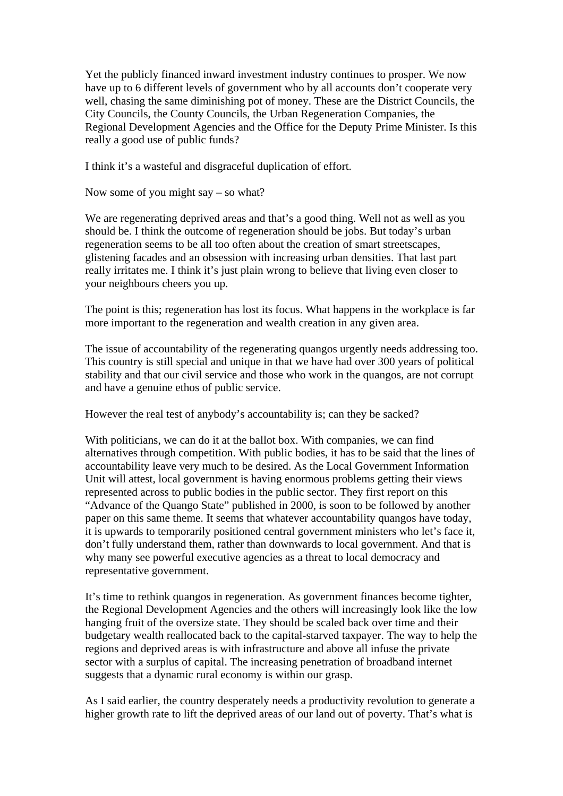Yet the publicly financed inward investment industry continues to prosper. We now have up to 6 different levels of government who by all accounts don't cooperate very well, chasing the same diminishing pot of money. These are the District Councils, the City Councils, the County Councils, the Urban Regeneration Companies, the Regional Development Agencies and the Office for the Deputy Prime Minister. Is this really a good use of public funds?

I think it's a wasteful and disgraceful duplication of effort.

Now some of you might say – so what?

We are regenerating deprived areas and that's a good thing. Well not as well as you should be. I think the outcome of regeneration should be jobs. But today's urban regeneration seems to be all too often about the creation of smart streetscapes, glistening facades and an obsession with increasing urban densities. That last part really irritates me. I think it's just plain wrong to believe that living even closer to your neighbours cheers you up.

The point is this; regeneration has lost its focus. What happens in the workplace is far more important to the regeneration and wealth creation in any given area.

The issue of accountability of the regenerating quangos urgently needs addressing too. This country is still special and unique in that we have had over 300 years of political stability and that our civil service and those who work in the quangos, are not corrupt and have a genuine ethos of public service.

However the real test of anybody's accountability is; can they be sacked?

With politicians, we can do it at the ballot box. With companies, we can find alternatives through competition. With public bodies, it has to be said that the lines of accountability leave very much to be desired. As the Local Government Information Unit will attest, local government is having enormous problems getting their views represented across to public bodies in the public sector. They first report on this "Advance of the Quango State" published in 2000, is soon to be followed by another paper on this same theme. It seems that whatever accountability quangos have today, it is upwards to temporarily positioned central government ministers who let's face it, don't fully understand them, rather than downwards to local government. And that is why many see powerful executive agencies as a threat to local democracy and representative government.

It's time to rethink quangos in regeneration. As government finances become tighter, the Regional Development Agencies and the others will increasingly look like the low hanging fruit of the oversize state. They should be scaled back over time and their budgetary wealth reallocated back to the capital-starved taxpayer. The way to help the regions and deprived areas is with infrastructure and above all infuse the private sector with a surplus of capital. The increasing penetration of broadband internet suggests that a dynamic rural economy is within our grasp.

As I said earlier, the country desperately needs a productivity revolution to generate a higher growth rate to lift the deprived areas of our land out of poverty. That's what is